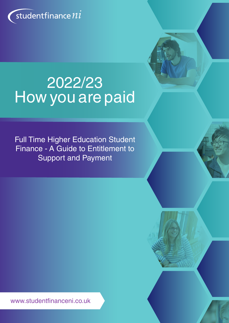

# 2022/23 How you are paid

Full Time Higher Education Student Finance - A Guide to Entitlement to Support and Payment

www.studentfinanceni.co.uk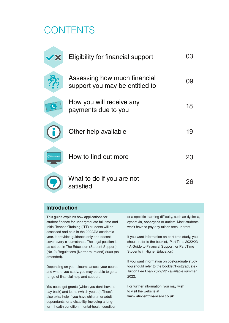# **CONTENTS**

| <b>2 X</b>        | Eligibility for financial support                              | 03 |
|-------------------|----------------------------------------------------------------|----|
|                   | Assessing how much financial<br>support you may be entitled to | 09 |
| £.                | How you will receive any<br>payments due to you                | 18 |
|                   | Other help available                                           | 19 |
| studentfinance ni | How to find out more                                           | 23 |
|                   | What to do if you are not<br>satisfied                         | 26 |

# **Introduction**

This guide explains how applications for student finance for undergraduate full-time and Initial Teacher Training (ITT) students will be assessed and paid in the 2022/23 academic year. It provides guidance only and doesn't cover every circumstance. The legal position is as set out in The Education (Student Support) (No. 2) Regulations (Northern Ireland) 2009 (as amended).

Depending on your circumstances, your course and where you study, you may be able to get a range of financial help and support.

You could get grants (which you don't have to pay back) and loans (which you do). There's also extra help if you have children or adult dependants, or a disability, including a longterm health condition, mental-health condition or a specific learning difficulty, such as dyslexia, dyspraxia, Asperger's or autism. Most students won't have to pay any tuition fees up front.

If you want information on part time study, you should refer to the booklet, 'Part Time 2022/23 - A Guide to Financial Support for Part Time Students in Higher Education'.

If you want information on postgraduate study you should refer to the booklet 'Postgraduate - Tuition Fee Loan 2022/23' - available summer 2022.

For further information, you may wish to visit the website at **www.studentfinanceni.co.uk**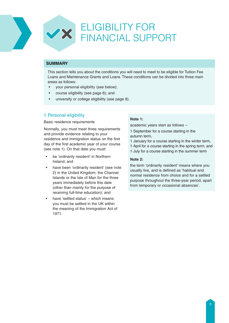### **SUMMARY**

This section tells you about the conditions you will need to meet to be eligible for Tuition Fee Loans and Maintenance Grants and Loans. These conditions can be divided into three main areas as follows:

- your personal eligibility (see below);
- course eligibility (see page 6); and
- university or college eligibility (see page 8).

## 1. Personal eligibility

Basic residence requirements

Normally, you must meet three requirements and provide evidence relating to your residence and immigration status on the first day of the first academic year of your course (see note 1). On that date you must:

- be 'ordinarily resident' in Northern Ireland; and
- have been 'ordinarily resident' (see note 2) in the United Kingdom, the Channel Islands or the Isle of Man for the three years immediately before this date (other than mainly for the purpose of receiving full-time education); and
- have 'settled status' which means you must be settled in the UK within the meaning of the Immigration Act of 1971.

#### **Note 1:**

academic years start as follows –

1 September for a course starting in the autumn term,

- 1 January for a course starting in the winter term,
- 1 April for a course starting in the spring term, and
- 1 July for a course starting in the summer term

#### **Note 2:**

the term 'ordinarily resident' means where you usually live, and is defined as 'habitual and normal residence from choice and for a settled purpose throughout the three-year period, apart from temporary or occasional absences'.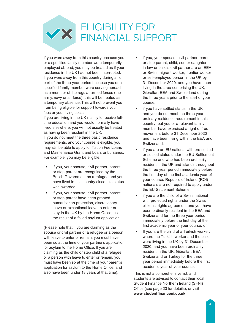# ELIGIBILITY FOR FINANCIAL SUPPORT

If you were away from this country because you or a specified family member were temporarily employed abroad, you may be treated as if your residence in the UK had not been interrupted. If you were away from this country during all or part of the three-year period because you or a specified family member were serving abroad as a member of the regular armed forces (the army, navy or air force), this will be treated as a temporary absence. This will not prevent you from being eligible for support towards your fees or your living costs.

If you are living in the UK mainly to receive fulltime education and you would normally have lived elsewhere, you will not usually be treated as having been resident in the UK.

If you do not meet the three basic residence requirements, and your course is eligible, you may still be able to apply for Tuition Fee Loans and Maintenance Grant and Loan, or bursaries. For example, you may be eligible:

- if you, your spouse, civil partner, parent or step-parent are recognised by the British Government as a refugee and you have lived in this country since this status was awarded;
- if you, your spouse, civil partner, parent or step-parent have been granted humanitarian protection, discretionary leave or exceptional leave to enter or stay in the UK by the Home Office, as the result of a failed asylum application.

(Please note that if you are claiming as the spouse or civil partner of a refugee or a person with leave to enter or remain, you must have been so at the time of your partner's application for asylum to the Home Office. If you are claiming as the child or step child of a refugee or a person with leave to enter or remain, you must have been so at the time of your parent's application for asylum to the Home Office, and also have been under 18 years at that time).

- if you, your spouse, civil partner, parent or step-parent, child, son or daughterin-law or child's civil partner are an EEA or Swiss migrant worker, frontier worker or self-employed person in the UK by 31 December 2020, and you have been living in the area comprising the UK, Gibraltar, EEA and Switzerland during the three years prior to the start of your course;
- if you have settled status in the UK and you do not meet the three year ordinary residence requirement in this country, but you or a relevant family member have exercised a right of free movement before 31 December 2020 and have been living within the EEA and Switzerland;
- if you are an EU national with pre-settled or settled status under the EU Settlement Scheme and who has been ordinarily resident in the UK and Islands throughout the three year period immediately before the first day of the first academic year of your course. Republic of Ireland (ROI) nationals are not required to apply under the EU Settlement Scheme;
- if you are the child of a Swiss national with protected rights under the Swiss citizens' rights agreement and you have been ordinarily resident in the EEA and Switzerland for the three year period immediately before the first day of the first academic year of your course; or
- If you are the child of a Turkish worker, where the Turkish worker and the child were living in the UK by 31 December 2020, and you have been ordinarily resident in the UK, Gibraltar, EEA, Switzerland or Turkey for the three year period immediately before the first academic year of your course.

This is not a comprehensive list, and students are advised to contact their local Student Finance Northern Ireland (SFNI) Office (see page 23 for details), or visit **www.studentfinanceni.co.uk**.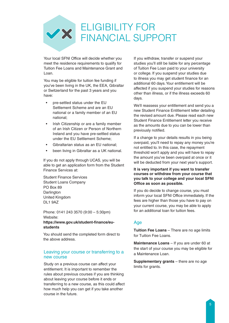

Your local SFNI Office will decide whether you meet the residence requirements to qualify for Tuition Fee Loans and Maintenance Grant and Loan.

You may be eligible for tuition fee funding if you've been living in the UK, the EEA, Gibraltar or Switzerland for the past 3 years and you have:

- pre-settled status under the EU Settlement Scheme and are an EU national or a family member of an EU national;
- Irish Citizenship or are a family member of an Irish Citizen or Person of Northern Ireland and you have pre-settled status under the EU Settlement Scheme;
- Gibraltarian status as an EU national;
- been living in Gibraltar as a UK national.

If you do not apply through UCAS, you will be able to get an application form from the Student Finance Services at:

Student Finance Services Student Loans Company PO Box 89 **Darlington** United Kingdom DL1 9AZ

Phone: 0141 243 3570 (9:00 – 5:30pm) Website: **https://www.gov.uk/student-finance/eustudents**

You should send the completed form direct to the above address.

#### Leaving your course or transferring to a new course

Study on a previous course can affect your entitlement. It is important to remember the rules about previous courses if you are thinking about leaving your course before it ends or transferring to a new course, as this could affect how much help you can get if you take another course in the future.

If you withdraw, transfer or suspend your studies you'll still be liable for any percentage of Tuition Fee Loan paid to your university or college. If you suspend your studies due to illness you may get student finance for an additional 60 days. Your entitlement will be affected if you suspend your studies for reasons other than illness, or if the illness exceeds 60 days.

We'll reassess your entitlement and send you a new Student Finance Entitlement letter detailing the revised amount due. Please read each new Student Finance Entitlement letter you receive as the amounts due to you can be lower than previously notified.

If a change to your details results in you being overpaid, you'll need to repay any money you're not entitled to. In this case, the repayment threshold won't apply and you will have to repay the amount you've been overpaid at once or it will be deducted from your next year's support.

**It is very important if you want to transfer courses or withdraw from your course that you talk to your college and your local SFNI Office as soon as possible.**

If you do decide to change course, you must inform your local SFNI Office immediately. If the fees are higher than those you have to pay on your current course, you may be able to apply for an additional loan for tuition fees.

## Age

**Tuition Fee Loans** – There are no age limits for Tuition Fee Loans.

**Maintenance Loans** – If you are under 60 at the start of your course you may be eligible for a Maintenance Loan.

**Supplementary grants** – there are no age limits for grants.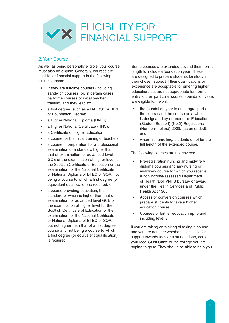

### 2. Your Course

As well as being personally eligible, your course must also be eligible. Generally, courses are eligible for financial support in the following circumstances:

- If they are full-time courses (including sandwich courses) or, in certain cases, part-time courses of initial teacher training, and they lead to:
- a first degree, such as a BA, BSc or BEd or Foundation Degree;
- a Higher National Diploma (HND);
- a Higher National Certificate (HNC);
- a Certificate of Higher Education;
- a course for the initial training of teachers;
- a course in preparation for a professional examination of a standard higher than that of examination for advanced level GCE or the examination at higher level for the Scottish Certificate of Education or the examination for the National Certificate or National Diploma of BTEC or SQA, not being a course to which a first degree (or equivalent qualification) is required; or
- a course providing education, the standard of which is higher than that of examination for advanced level GCE or the examination at higher level for the Scottish Certificate of Education or the examination for the National Certificate or National Diploma of BTEC or SQA, but not higher than that of a first degree course and not being a course to which a first degree (or equivalent qualification) is required.

Some courses are extended beyond their normal length to include a foundation year. These are designed to prepare students for study in their chosen subject if their qualifications or experience are acceptable for entering higher education, but are not appropriate for normal entry to their particular course. Foundation years are eligible for help if:

- the foundation year is an integral part of the course and the course as a whole is designated by or under the Education (Student Support) (No.2) Regulations (Northern Ireland) 2009, (as amended); and
- when first enrolling, students enrol for the full length of the extended course.

The following courses are not covered:

- Pre-registration nursing and midwifery diploma courses and any nursing or midwifery course for which you receive a non income-assessed Department of Health (DoH)/NHS bursary or award under the Health Services and Public Health Act 1968.
- Access or conversion courses which prepare students to take a higher education course.
- Courses of further education up to and including level 3.

If you are taking or thinking of taking a course and you are not sure whether it is eligible for support towards fees or a student loan, contact your local SFNI Office or the college you are hoping to go to. They should be able to help you.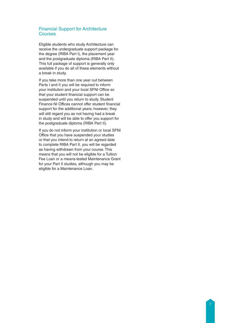#### Financial Support for Architecture **Courses**

Eligible students who study Architecture can receive the undergraduate support package for the degree (RIBA Part I), the placement year and the postgraduate diploma (RIBA Part II). This full package of support is generally only available if you do all of these elements without a break in study.

If you take more than one year out between Parts I and II you will be required to inform your institution and your local SFNI Office so that your student financial support can be suspended until you return to study. Student Finance NI Offices cannot offer student financial support for the additional years; however, they will still regard you as not having had a break in study and will be able to offer you support for the postgraduate diploma (RIBA Part II).

If you do not inform your institution or local SFNI Office that you have suspended your studies or that you intend to return at an agreed date to complete RIBA Part II, you will be regarded as having withdrawn from your course. This means that you will not be eligible for a Tuition Fee Loan or a means-tested Maintenance Grant for your Part II studies, although you may be eligible for a Maintenance Loan.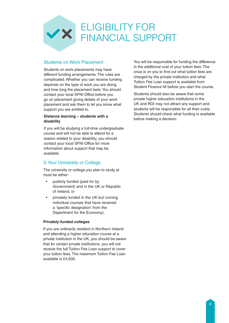

### Students on Work Placement

Students on work placements may have different funding arrangements. The rules are complicated. Whether you can receive funding depends on the type of work you are doing and how long the placement lasts. You should contact your local SFNI Office before you go on placement giving details of your work placement and ask them to let you know what support you are entitled to.

#### **Distance learning – students with a disability**

If you will be studying a full-time undergraduate course and will not be able to attend for a reason related to your disability, you should contact your local SFNI Office for more information about support that may be available.

## 3. Your University or College

The university or college you plan to study at must be either:

- publicly funded (paid for by Government) and in the UK or Republic of Ireland; or
- privately funded in the UK but running individual courses that have received a 'specific designation' from the Department for the Economy).

#### **Privately-funded colleges**

If you are ordinarily resident in Northern Ireland and attending a higher education course at a private institution in the UK, you should be aware that for certain private institutions, you will not receive the full Tuition Fee Loan support to cover your tuition fees. The maximum Tuition Fee Loan available is £4,630.

You will be responsible for funding the difference in the additional cost of your tuition fees. The onus is on you to find out what tuition fees are charged by the private institution and what Tuition Fee Loan support is available from Student Finance NI before you start the course.

Students should also be aware that some private higher education institutions in the UK and ROI may not attract any support and students will be responsible for all their costs. Students should check what funding is available before making a decision.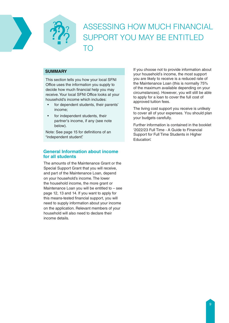

# ASSESSING HOW MUCH FINANCIAL SUPPORT YOU MAY BE ENTITLED TO

#### **SUMMARY**

This section tells you how your local SFNI Office uses the information you supply to decide how much financial help you may receive. Your local SFNI Office looks at your household's income which includes:

- for dependent students, their parents' income;
- for independent students, their partner's income, if any (see note below).

Note: See page 15 for definitions of an "independent student".

### **General Information about income for all students**

The amounts of the Maintenance Grant or the Special Support Grant that you will receive, and part of the Maintenance Loan, depend on your household's income. The lower the household income, the more grant or Maintenance Loan you will be entitled to – see page 12, 13 and 14. If you want to apply for this means-tested financial support, you will need to supply information about your income on the application. Relevant members of your household will also need to declare their income details.

If you choose not to provide information about your household's income, the most support you are likely to receive is a reduced rate of the Maintenance Loan (this is normally 75% of the maximum available depending on your circumstances). However, you will still be able to apply for a loan to cover the full cost of approved tuition fees.

The living cost support you receive is unlikely to cover all of your expenses. You should plan your budgets carefully.

Further information is contained in the booklet '2022/23 Full Time - A Guide to Financial Support for Full Time Students in Higher Education'.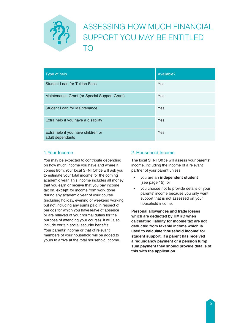

| Type of help                                           | Available? |
|--------------------------------------------------------|------------|
| <b>Student Loan for Tuition Fees</b>                   | Yes        |
| Maintenance Grant (or Special Support Grant)           | Yes        |
| <b>Student Loan for Maintenance</b>                    | Yes        |
| Extra help if you have a disability                    | Yes        |
| Extra help if you have children or<br>adult dependants | Yes        |

# 1. Your Income

You may be expected to contribute depending on how much income you have and where it comes from. Your local SFNI Office will ask you to estimate your total income for the coming academic year. This income includes all money that you earn or receive that you pay income tax on, **except** for income from work done during any academic year of your course (including holiday, evening or weekend working but not including any sums paid in respect of periods for which you have leave of absence or are relieved of your normal duties for the purpose of attending your course). It will also include certain social security benefits. Your parents' income or that of relevant members of your household will be added to yours to arrive at the total household income.

# 2. Household Income

The local SFNI Office will assess your parents' income, including the income of a relevant partner of your parent unless:

- you are an **independent student**  (see page 15); or
- you choose not to provide details of your parents' income because you only want support that is not assessed on your household income.

**Personal allowances and trade losses which are deducted by HMRC when calculating liability for income tax are not deducted from taxable income which is used to calculate 'household income' for student support. If a parent has received a redundancy payment or a pension lump sum payment they should provide details of this with the application.**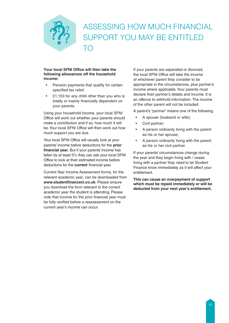

#### **Your local SFNI Office will then take the following allowances off the household income:**

- Pension payments that qualify for certain specified tax relief.
- £1,153 for any child other than you who is totally or mainly financially dependent on your parents.

Using your household income, your local SFNI Office will work out whether your parents should make a contribution and if so, how much it will be. Your local SFNI Office will then work out how much support you are due.

Your local SFNI Office will usually look at your parents' income before deductions for the **prior financial year.** But if your parents' income has fallen by at least 5% they can ask your local SFNI Office to look at their estimated income before deductions for the **current** financial year.

Current Year Income Assessment forms, for the relevant academic year, can be downloaded from **www.studentfinanceni.co.uk**. Please ensure you download the form relevant to the correct academic year the student is attending. Please note that income for the prior financial year must be fully verified before a reassessment on the current year's income can occur.

If your parents are separated or divorced, the local SFNI Office will take the income of whichever parent they consider to be appropriate in the circumstances, plus partner's income where applicable. Your parents must declare their partner's details and income. It is an offence to withhold information. The income of the other parent will not be included.

A parent's "partner" means one of the following:

- A spouse (husband or wife);
- Civil partner;
- A person ordinarily living with the parent as his or her spouse;
- A person ordinarily living with the parent as his or her civil partner.

If your parents' circumstances change during the year and they begin living with / cease living with a partner they need to let Student Finance know immediately as it will affect your entitlement.

**This can cause an overpayment of support which must be repaid immediately or will be deducted from your next year's entitlement.**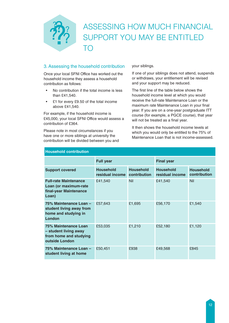# ASSESSING HOW MUCH FINANCIAL SUPPORT YOU MAY BE ENTITLED TO

# 3. Assessing the household contribution

Once your local SFNI Office has worked out the household income they assess a household contribution as follows:

- No contribution if the total income is less than £41,540.
- £1 for every £9.50 of the total income above £41,540.

For example, if the household income is £45,000, your local SFNI Office would assess a contribution of £364.

Please note in most circumstances if you have one or more siblings at university the contribution will be divided between you and your siblings.

If one of your siblings does not attend, suspends or withdraws, your entitlement will be revised and your support may be reduced.

The first line of the table below shows the household income level at which you would receive the full-rate Maintenance Loan or the maximum rate Maintenance Loan in your final year. If you are on a one-year postgraduate ITT course (for example, a PGCE course), that year will not be treated as a final year.

It then shows the household income levels at which you would only be entitled to the 75% of Maintenance Loan that is not income-assessed.

| <b>HOUSENOID CONTIDUTION</b>                                                              |                                     |                                  |                                     |                                  |  |
|-------------------------------------------------------------------------------------------|-------------------------------------|----------------------------------|-------------------------------------|----------------------------------|--|
|                                                                                           | <b>Full year</b>                    |                                  | <b>Final year</b>                   |                                  |  |
| <b>Support covered</b>                                                                    | <b>Household</b><br>residual income | <b>Household</b><br>contribution | <b>Household</b><br>residual income | <b>Household</b><br>contribution |  |
| <b>Full-rate Maintenance</b><br>Loan (or maximum-rate<br>final-year Maintenance<br>Loan)  | £41,540                             | <b>Nil</b>                       | £41,540                             | <b>Nil</b>                       |  |
| 75% Maintenance Loan -<br>student living away from<br>home and studying in<br>London      | £57,643                             | £1,695                           | £56,170                             | £1,540                           |  |
| 75% Maintenance Loan<br>- student living away<br>from home and studying<br>outside London | £53,035                             | £1,210                           | £52,180                             | £1,120                           |  |
| 75% Maintenance Loan -<br>student living at home                                          | £50,451                             | £938                             | £49,568                             | £845                             |  |

### **Household contribution**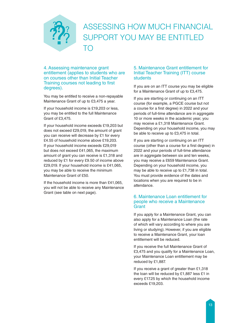

4. Assessing maintenance grant entitlement (applies to students who are on courses other than Initial Teacher Training courses not leading to first degrees).

You may be entitled to receive a non-repayable Maintenance Grant of up to £3,475 a year.

If your household income is £19,203 or less, you may be entitled to the full Maintenance Grant of £3,475.

If your household income exceeds £19,203 but does not exceed £29,019, the amount of grant you can receive will decrease by £1 for every £4.55 of household income above £19,203. If your household income exceeds £29,019 but does not exceed £41,065, the maximum amount of grant you can receive is £1,318 and reduced by £1 for every £9.50 of income above £29,019. If your household income is £41,065, you may be able to receive the minimum Maintenance Grant of £50.

If the household income is more than £41,065, you will not be able to receive any Maintenance Grant (see table on next page).

#### 5. Maintenance Grant entitlement for Initial Teacher Training (ITT) course **students**

If you are on an ITT course you may be eligible for a Maintenance Grant of up to £3,475.

If you are starting or continuing on an ITT course (for example, a PGCE course but not a course for a first degree) in 2022 and your periods of full-time attendance are in aggregate 10 or more weeks in the academic year, you may receive a £1,318 Maintenance Grant. Depending on your household income, you may be able to receive up to £3,475 in total.

If you are starting or continuing on an ITT course (other than a course for a first degree) in 2022 and your periods of full-time attendance are in aggregate between six and ten weeks, you may receive a £659 Maintenance Grant. Depending on your household income, you may be able to receive up to £1,738 in total. You must provide evidence of the dates and locations when you are required to be in attendance.

#### 6. Maintenance Loan entitlement for people who receive a Maintenance **Grant**

If you apply for a Maintenance Grant, you can also apply for a Maintenance Loan (the rate of which will vary according to where you are living or studying). However, if you are eligible to receive a Maintenance Grant, your loan entitlement will be reduced.

If you receive the full Maintenance Grant of £3,475 and you qualify for a Maintenance Loan, your Maintenance Loan entitlement may be reduced by £1,887.

If you receive a grant of greater than £1,318 the loan will be reduced by £1,887 less £1 in every £17.25 by which the household income exceeds £19,203.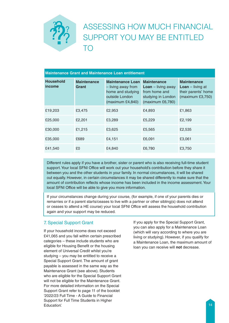# ASSESSING HOW MUCH FINANCIAL SUPPORT YOU MAY BE ENTITLED TO

| <b>Maintenance Grant and Maintenance Loan entitlement</b> |                             |                                                                                                             |                                                                                                              |                                                                                            |  |  |
|-----------------------------------------------------------|-----------------------------|-------------------------------------------------------------------------------------------------------------|--------------------------------------------------------------------------------------------------------------|--------------------------------------------------------------------------------------------|--|--|
| <b>Household</b><br>income                                | <b>Maintenance</b><br>Grant | <b>Maintenance Loan</b><br>- living away from<br>home and studying<br>outside London<br>(maximum $£4,840$ ) | <b>Maintenance</b><br><b>Loan</b> $-$ living away<br>from home and<br>studying in London<br>(maximum £6,780) | <b>Maintenance</b><br><b>Loan</b> $-$ living at<br>their parents' home<br>(maximum £3,750) |  |  |
| £19,203                                                   | £3,475                      | £2,953                                                                                                      | £4,893                                                                                                       | £1,863                                                                                     |  |  |
| £25,000                                                   | £2,201                      | £3,289                                                                                                      | £5,229                                                                                                       | £2,199                                                                                     |  |  |
| £30,000                                                   | £1,215                      | £3,625                                                                                                      | £5,565                                                                                                       | £2,535                                                                                     |  |  |
| £35,000                                                   | £689                        | £4,151                                                                                                      | £6,091                                                                                                       | £3,061                                                                                     |  |  |
| £41,540                                                   | £0                          | £4,840                                                                                                      | £6,780                                                                                                       | £3,750                                                                                     |  |  |

Different rules apply if you have a brother, sister or parent who is also receiving full-time student support. Your local SFNI Office will work out your household's contribution before they share it between you and the other students in your family. In normal circumstances, it will be shared out equally. However, in certain circumstances it may be shared differently to make sure that the amount of contribution reflects whose income has been included in the income assessment. Your local SFNI Office will be able to give you more information.

If your circumstances change during your course, (for example, if one of your parents dies or remarries or if a parent starts/ceases to live with a partner or other sibling(s) does not attend or ceases to attend a HE course) your local SFNI Office will assess the household contribution again and your support may be reduced.

## 7. Special Support Grant

If your household income does not exceed £41,065 and you fall within certain prescribed categories – these include students who are eligible for Housing Benefit or the housing element of Universal Credit whilst you're studying – you may be entitled to receive a Special Support Grant. The amount of grant payable is assessed in the same way as the Maintenance Grant (see above). Students who are eligible for the Special Support Grant will not be eligible for the Maintenance Grant. For more detailed information on the Special Support Grant refer to page 11 of the booklet '2022/23 Full Time - A Guide to Financial Support for Full Time Students in Higher Education'.

If you apply for the Special Support Grant, you can also apply for a Maintenance Loan (which will vary according to where you are living or studying). However, if you qualify for a Maintenance Loan, the maximum amount of loan you can receive will **not** decrease.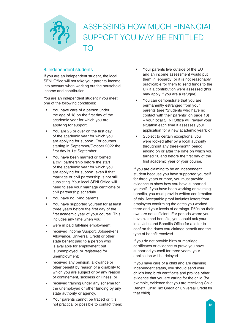

## 8. Independent students

If you are an independent student, the local SFNI Office will not take your parents' income into account when working out the household income and contribution.

You are an independent student if you meet one of the following conditions:

- You have care of a person under the age of 18 on the first day of the academic year for which you are applying for support.
- You are 25 or over on the first day of the academic year for which you are applying for support. For courses starting in September/October 2022 the first day is 1st September.
- You have been married or formed a civil partnership before the start of the academic year for which you are applying for support, even if that marriage or civil partnership is not still subsisting. Your local SFNI Office will need to see your marriage certificate or civil partnership schedule.
- You have no living parents.
- You have supported yourself for at least three years before the first day of the first academic year of your course. This includes any time when you:
- were in paid full-time employment;
- received Income Support, Jobseeker's Allowance, Universal Credit or other state benefit paid to a person who is available for employment but is unemployed, or registered for unemployment;
- received any pension, allowance or other benefit by reason of a disability to which you are subject or by any reason of confinement, sickness or illness; or
- received training under any scheme for the unemployed or other funding by any state authority or agency.
- Your parents cannot be traced or it is not practical or possible to contact them;
- Your parents live outside of the EU and an income assessment would put them in jeopardy, or it is not reasonably practicable for them to send funds to the UK if a contribution were assessed (this may apply if you are a refugee);
- You can demonstrate that you are permanently estranged from your parents (see "Students who have no contact with their parents" on page 16) – your local SFNI Office will review your situation each time it assesses your application for a new academic year); or
- Subject to certain exceptions, you were looked after by a local authority throughout any three-month period ending on or after the date on which you turned 16 and before the first day of the first academic year of your course.

If you are claiming to be an independent student because you have supported yourself for three years or more, you must provide evidence to show how you have supported yourself. If you have been working or claiming benefits, you must provide written confirmation of this. Acceptable proof includes letters from employers confirming the dates you worked there and your levels of earnings. P60s on their own are not sufficient. For periods where you have claimed benefits, you should ask your local Jobs and Benefits Office for a letter to confirm the dates you claimed benefit and the type of benefit received.

If you do not provide birth or marriage certificates or evidence to prove you have supported yourself for three years, your application will be delayed.

If you have care of a child and are claiming independent status, you should send your child's long birth certificate and provide other evidence that you are caring for the child (for example, evidence that you are receiving Child Benefit, Child Tax Credit or Universal Credit for that child).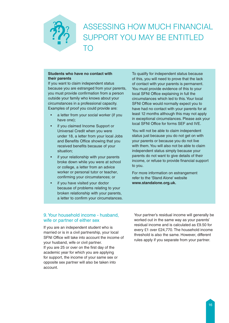# ASSESSING HOW MUCH FINANCIAL SUPPORT YOU MAY BE ENTITLED TO

#### **Students who have no contact with their parents**

If you want to claim independent status because you are estranged from your parents, you must provide confirmation from a person outside your family who knows about your circumstances in a professional capacity. Examples of proof you could provide are:

- a letter from your social worker (if you have one);
- if you claimed Income Support or Universal Credit when you were under 18, a letter from your local Jobs and Benefits Office showing that you received benefits because of your situation;
- if your relationship with your parents broke down while you were at school or college, a letter from an advice worker or personal tutor or teacher, confirming your circumstances; or
- if you have visited your doctor because of problems relating to your broken relationship with your parents, a letter to confirm your circumstances.

To qualify for independent status because of this, you will need to prove that the lack of contact with your parents is permanent. You must provide evidence of this to your local SFNI Office explaining in full the circumstances which led to this. Your local SFNI Office would normally expect you to have had no contact with your parents for at least 12 months although this may not apply in exceptional circumstances. Please ask your local SFNI Office for forms SEF and IVE.

You will not be able to claim independent status just because you do not get on with your parents or because you do not live with them. You will also not be able to claim independent status simply because your parents do not want to give details of their income, or refuse to provide financial support to you.

For more information on estrangement refer to the 'Stand Alone' website **www.standalone.org.uk.**

### 9. Your household income - husband, wife or partner of either sex

If you are an independent student who is married or is in a civil partnership, your local SFNI Office will take into account the income of your husband, wife or civil partner. If you are 25 or over on the first day of the academic year for which you are applying for support, the income of your same sex or opposite sex partner will also be taken into account.

Your partner's residual income will generally be worked out in the same way as your parents' residual income and is calculated as £9.50 for every £1 over £24,770. The household income threshold is also the same. However, different rules apply if you separate from your partner.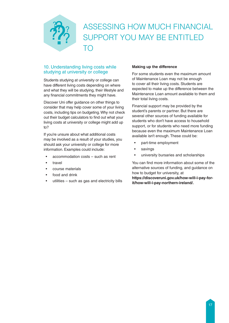

### 10. Understanding living costs while studying at university or college

Students studying at university or college can have different living costs depending on where and what they will be studying, their lifestyle and any financial commitments they might have.

Discover Uni offer guidance on other things to consider that may help cover some of your living costs, including tips on budgeting. Why not check out their budget calculators to find out what your living costs at university or college might add up to?

If you're unsure about what additional costs may be involved as a result of your studies, you should ask your university or college for more information. Examples could include:

- accommodation costs such as rent
- travel
- course materials
- food and drink
- $utilities such as gas and electricity bills$

#### **Making up the difference**

For some students even the maximum amount of Maintenance Loan may not be enough to cover all their living costs. Students are expected to make up the difference between the Maintenance Loan amount available to them and their total living costs.

Financial support may be provided by the student's parents or partner. But there are several other sources of funding available for students who don't have access to household support, or for students who need more funding because even the maximum Maintenance Loan available isn't enough. These could be:

- part-time employment
- savings
- university bursaries and scholarships

You can find more information about some of the alternative sources of funding, and guidance on how to budget for university, at

**https://discoveruni.gov.uk/how-will-i-pay-forit/how-will-i-pay-northern-ireland/.**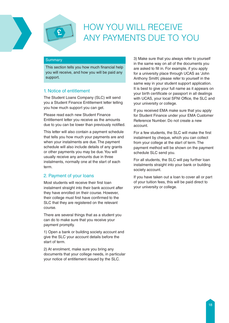



#### **Summary**

This section tells you how much financial help you will receive, and how you will be paid any support.

#### 1. Notice of entitlement

The Student Loans Company (SLC) will send you a Student Finance Entitlement letter telling you how much support you can get.

Please read each new Student Finance Entitlement letter you receive as the amounts due to you can be lower than previously notified.

This letter will also contain a payment schedule that tells you how much your payments are and when your instalments are due. The payment schedule will also include details of any grants or other payments you may be due. You will usually receive any amounts due in three instalments, normally one at the start of each term.

#### 2. Payment of your loans

Most students will receive their first loan instalment straight into their bank account after they have enrolled on their course. However, their college must first have confirmed to the SLC that they are registered on the relevant course.

There are several things that as a student you can do to make sure that you receive your payment promptly.

1) Open a bank or building society account and give the SLC your account details before the start of term.

2) At enrolment, make sure you bring any documents that your college needs, in particular your notice of entitlement issued by the SLC.

3) Make sure that you always refer to yourself in the same way on all of the documents you are asked to fill in. For example, if you apply for a university place through UCAS as 'John Anthony Smith', please refer to yourself in the same way in your student support application. It is best to give your full name as it appears on your birth certificate or passport in all dealings with UCAS, your local SFNI Office, the SLC and your university or college.

If you received EMA make sure that you apply for Student Finance under your EMA Customer Reference Number. Do not create a new account.

For a few students, the SLC will make the first instalment by cheque, which you can collect from your college at the start of term. The payment method will be shown on the payment schedule SLC send you.

For all students, the SLC will pay further loan instalments straight into your bank or building society account.

If you have taken out a loan to cover all or part of your tuition fees, this will be paid direct to your university or college.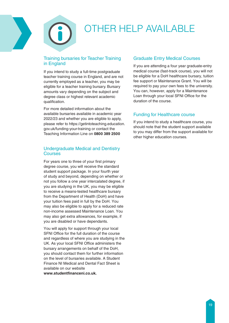

#### Training bursaries for Teacher Training in England

If you intend to study a full-time postgraduate teacher training course in England, and are not currently employed as a teacher, you may be eligible for a teacher training bursary. Bursary amounts vary depending on the subject and degree class or highest relevant academic qualification.

For more detailed information about the available bursaries available in academic year 2022/23 and whether you are eligible to apply, please refer to https://getintoteaching.education. gov.uk/funding-your-training or contact the Teaching Information Line on **0800 389 2500**

#### Undergraduate Medical and Dentistry Courses

For years one to three of your first primary degree course, you will receive the standard student support package. In your fourth year of study and beyond, depending on whether or not you follow a one year intercalated degree, if you are studying in the UK, you may be eligible to receive a means-tested healthcare bursary from the Department of Health (DoH) and have your tuition fees paid in full by the DoH. You may also be eligible to apply for a reduced rate non-income assessed Maintenance Loan. You may also get extra allowances, for example, if you are disabled or have dependants.

You will apply for support through your local SFNI Office for the full duration of the course and regardless of where you are studying in the UK. As your local SFNI Office administers the bursary arrangements on behalf of the DoH, you should contact them for further information on the level of bursaries available. A Student Finance NI Medical and Dental Fact Sheet is available on our website **www.studentfinanceni.co.uk.**

### Graduate Entry Medical Courses

If you are attending a four year graduate-entry medical course (fast-track course), you will not be eligible for a DoH healthcare bursary, tuition fee support or Maintenance Grant. You will be required to pay your own fees to the university. You can, however, apply for a Maintenance Loan through your local SFNI Office for the duration of the course.

### Funding for Healthcare course

If you intend to study a healthcare course, you should note that the student support available to you may differ from the support available for other higher education courses.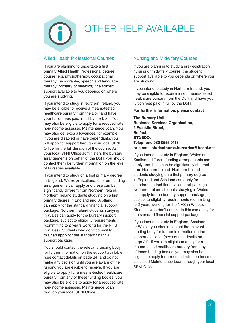

# Allied Health Professional Courses

If you are planning to undertake a first primary Allied Health Professional degree course (e.g. physiotherapy, occupational therapy, radiography, speech and language therapy, podiatry or dietetics), the student support available to you depends on where you are studying.

If you intend to study in Northern Ireland, you may be eligible to receive a means-tested healthcare bursary from the DoH and have your tuition fees paid in full by the DoH. You may also be eligible to apply for a reduced rate non-income assessed Maintenance Loan. You may also get extra allowances, for example, if you are disabled or have dependants.You will apply for support through your local SFNI Office for the full duration of the course. As your local SFNI Office administers the bursary arrangements on behalf of the DoH, you should contact them for further information on the level of bursaries available.

If you intend to study on a first primary degree in England, Wales or Scotland, different funding arrangements can apply and these can be significantly different from Northern Ireland. Northern Ireland students studying on a first primary degree in England and Scotland can apply for the standard financial support package. Northern Ireland students studying in Wales can apply for the bursary support package, subject to eligibility requirements (committing to 2 years working for the NHS in Wales). Students who don't commit to this can apply for the standard financial support package.

You should contact the relevant funding body for further information on the support available (see contact details on page 24) and do not make any decision until you are aware of the funding you are eligible to receive. If you are eligible to apply for a means-tested healthcare bursary from any of these funding bodies, you may also be eligible to apply for a reduced rate non-income assessed Maintenance Loan through your local SFNI Office.

# Nursing and Midwifery Courses

If you are planning to study a pre-registration nursing or midwifery course, the student support available to you depends on where you are studying.

If you intend to study in Northern Ireland, you may be eligible to receive a non means-tested healthcare bursary from the DoH and have your tuition fees paid in full by the DoH.

#### **For further information, please contact**

**The Bursary Unit, Business Services Organisation, 2 Franklin Street, Belfast, BT2 8DQ, Telephone 030 0555 0113 or e-mail: studentnurse.bursaries@hscni.net**

If you intend to study in England, Wales or Scotland, different funding arrangements can apply and these can be significantly different from Northern Ireland. Northern Ireland students studying on a first primary degree in England and Scotland can apply for the standard student financial support package. Northern Ireland students studying in Wales can apply for the bursary support package, subject to eligibility requirements (committing to 2 years working for the NHS in Wales). Students who don't commit to this can apply for the standard financial support package.

If you intend to study in England, Scotland or Wales, you should contact the relevant funding body for further information on the support available (see contact details on page 24). If you are eligible to apply for a means-tested healthcare bursary from any of these funding bodies, you may also be eligible to apply for a reduced rate non-income assessed Maintenance Loan through your local SFNI Office.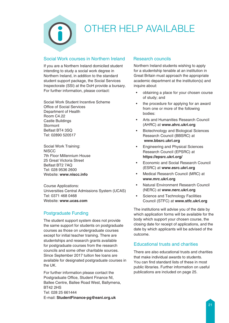# Social Work courses in Northern Ireland

If you are a Northern Ireland domiciled student intending to study a social work degree in Northern Ireland, in addition to the standard student support package, the Social Services Inspectorate (SSI) at the DoH provide a bursary. For further information, please contact:

Social Work Student Incentive Scheme Office of Social Services Department of Health Room C4.22 Castle Buildings Stormont Belfast BT4 3SQ Tel: 02890 520517

Social Work Training: **NISCC** 7th Floor Millennium House 25 Great Victoria Street Belfast BT2 7AQ Tel: 028 9536 2600 Website: **www.niscc.info**

Course Applications: Universities Central Admissions System (UCAS) Tel: 0371 468 0468 Website: **www.ucas.com**

# Postgraduate Funding

The student support system does not provide the same support for students on postgraduate courses as those on undergraduate courses except for initial teacher training. There are studentships and research grants available for postgraduate courses from the research councils and some other charitable sources. Since September 2017 tuition fee loans are available for designated postgraduate courses in the UK.

For further information please contact the Postgraduate Office, Student Finance NI, Ballee Centre, Ballee Road West, Ballymena, BT42 2HS Tel: 028 25 661444 E-mail: **StudentFinance-pg@eani.org.uk**

# Research councils

Northern Ireland students wishing to apply for a studentship tenable at an institution in Great Britain must approach the appropriate academic department at the institution(s) and inquire about:

- obtaining a place for your chosen course of study; and
- the procedure for applying for an award from one or more of the following bodies:
- Arts and Humanities Research Council (AHRC) at **www.ahrc.ukri.org**
- Biotechnology and Biological Sciences Research Council (BBSRC) at  **www.bbsrc.ukri.org**
- Engineering and Physical Sciences Research Council (EPSRC) at **https://epsrc.ukri.org/**
- Economic and Social Research Council (ESRC) at **www.esrc.ukri.org**
- Medical Research Council (MRC) at **www.mrc.ukri.org**
- Natural Environment Research Council (NERC) at **www.nerc.ukri.org**
- Science and Technology Facilities Council (STFC) at **www.stfc.ukri.org**

The institutions will advise you of the date by which application forms will be available for the body which support your chosen course, the closing date for receipt of applications, and the date by which applicants will be advised of the outcome.

# Educational trusts and charities

There are also educational trusts and charities that make individual awards to students. You can find standard lists of these in most public libraries. Further information on useful publications are included on page 25.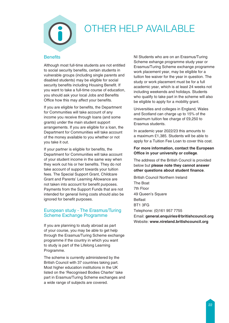

#### **Benefits**

Although most full-time students are not entitled to social security benefits, certain students in vulnerable groups (including single parents and disabled students) may be eligible for social security benefits including Housing Benefit. If you want to take a full-time course of education, you should ask your local Jobs and Benefits Office how this may affect your benefits.

If you are eligible for benefits, the Department for Communities will take account of any income you receive through loans (and some grants) under the main student support arrangements. If you are eligible for a loan, the Department for Communities will take account of the money available to you whether or not you take it out.

If your partner is eligible for benefits, the Department for Communities will take account of your student income in the same way when they work out his or her benefits. They do not take account of support towards your tuition fees. The Special Support Grant, Childcare Grant and Parents' Learning Allowance are not taken into account for benefit purposes. Payments from the Support Funds that are not intended for general living costs should also be ignored for benefit purposes.

### European study - The Erasmus/Turing Scheme Exchange Programme

If you are planning to study abroad as part of your course, you may be able to get help through the Erasmus/Turing Scheme exchange programme if the country in which you want to study is part of the Lifelong Learning Programme.

The scheme is currently administered by the British Council with 37 countries taking part. Most higher education institutions in the UK listed on the 'Recognised Bodies Charter' take part in Erasmus/Turing Scheme exchanges and a wide range of subjects are covered.

NI Students who are on an Erasmus/Turing Scheme exhange programme study year or Erasmus/Turing Scheme exchange programme work placement year, may be eligible for a tuition fee waiver for the year in question. The study or work placement must be for a full academic year, which is at least 24 weeks not including weekends and holidays. Students who qualify to take part in the scheme will also be eligible to apply for a mobility grant.

Universities and colleges in England, Wales and Scotland can charge up to 15% of the maximum tuition fee charge of £9,250 to Erasmus students.

In academic year 2022/23 this amounts to a maximum £1,385. Students will be able to apply for a Tuition Fee Loan to cover this cost.

#### **For more information, contact the European Office in your university or college**.

The address of the British Council is provided below but **please note they cannot answer other questions about student finance**.

British Council Northern Ireland The Boat 7th Floor 49 Queen's Square Belfast BT1 3FG Telephone: (0)161 957 7755 Email: **general.enquiries@britishcouncil.org** Website: **www.nireland.britishcouncil.org**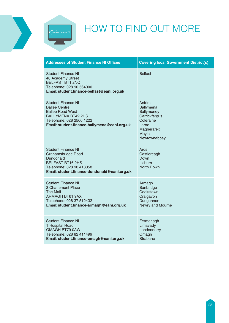

 $\left| \widehat{\text{Student finance } \mathit{ni}} \right|$ 

| <b>Addresses of Student Finance NI Offices</b>                                                                                                                                 | <b>Covering local Government District(s)</b>                                                                     |
|--------------------------------------------------------------------------------------------------------------------------------------------------------------------------------|------------------------------------------------------------------------------------------------------------------|
| Student Finance NI<br>40 Academy Street<br><b>BELFAST BT1 2NQ</b><br>Telephone: 028 90 564000<br>Email: student.finance-belfast@eani.org.uk                                    | <b>Belfast</b>                                                                                                   |
| Student Finance NI<br><b>Ballee Centre</b><br><b>Ballee Road West</b><br><b>BALLYMENA BT42 2HS</b><br>Telephone: 028 2566 1222<br>Email: student.finance-ballymena@eani.org.uk | Antrim<br>Ballymena<br>Ballymoney<br>Carrickfergus<br>Coleraine<br>Larne<br>Magherafelt<br>Moyle<br>Newtownabbey |
| <b>Student Finance NI</b><br>Grahamsbridge Road<br>Dundonald<br><b>BELFAST BT16 2HS</b><br>Telephone: 028 90 418058<br>Email: student.finance-dundonald@eani.org.uk            | Ards<br>Castlereagh<br>Down<br>Lisburn<br><b>North Down</b>                                                      |
| Student Finance NI<br>3 Charlemont Place<br>The Mall<br><b>ARMAGH BT61 9AX</b><br>Telephone: 028 37 512432<br>Email: student.finance-armagh@eani.org.uk                        | Armagh<br>Banbridge<br>Cookstown<br>Craigavon<br>Dungannon<br>Newry and Mourne                                   |
| <b>Student Finance NI</b><br>1 Hospital Road<br>OMAGH BT79 0AW<br>Telephone: 028 82 411499<br>Email: student.finance-omagh@eani.org.uk                                         | Fermanagh<br>Limavady<br>Londonderry<br>Omagh<br><b>Strabane</b>                                                 |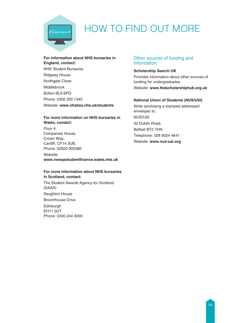

# HOW TO FIND OUT MORE

#### **For information about NHS bursaries in England, contact:**

NHS Student Bursaries Ridgway House Northgate Close Middlebrook Bolton BL6 6PQ Phone: 0300 330 1345 Website: **www.nhsbsa.nhs.uk/students**

#### **For more information on NHS bursaries in Wales, contact:**

Floor 4, Companies House, Crown Way, Cardiff, CF14 3UB, Phone: 02920 905380

Website: **www.nwsspstudentfinance.wales.nhs.uk**

#### **For more information about NHS bursaries in Scotland, contact:**

The Student Awards Agency for Scotland (SAAS) Saughton House Broomhouse Drive Edinburgh EH11 3UT Phone: 0300 244 4000

### Other sources of funding and information

#### **Scholarship Search UK**

Provides information about other sources of funding for undergraduates. Website: **www.thescholarshiphub.org.uk**

#### **National Union of Students (NUS/USI)**

Write (enclosing a stamped addressed envelope) to: NUS/USI 42 Dublin Road, Belfast BT2 7HN Telephone: 028 9024 4641 Website: **www.nus-usi.org**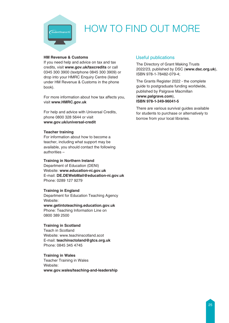

# HOW TO FIND OUT MORE

#### **HM Revenue & Customs**

If you need help and advice on tax and tax credits, visit **www.gov.uk/taxcredits** or call 0345 300 3900 (textphone 0845 300 3909) or drop into your HMRC Enquiry Centre (listed under HM Revenue & Customs in the phone book).

For more information about how tax affects you, visit **www.HMRC.gov.uk**

For help and advice with Universal Credits, phone 0800 328 5644 or visit **www.gov.uk/universal-credit**

#### **Teacher training**

For information about how to become a teacher, including what support may be available, you should contact the following authorities –

#### **Training in Northern Ireland**

Department of Education (DENI) Website: **www.education-ni.gov.uk** E-mail: **DE.DEWebMail@education-ni.gov.uk** Phone: 0289 127 9279

#### **Training in England**

Department for Education Teaching Agency Website:

**www.getintoteaching.education.gov.uk** Phone: Teaching Information Line on 0800 389 2500

#### **Training in Scotland**

Teach in Scotland Website: www.teachinscotland.scot E-mail: **teachinsctoland@gtcs.org.uk** Phone: 0845 345 4745

#### **Training in Wales**

Teacher Training in Wales Website: **www.gov.wales/teaching-and-leadership**

### Useful publications

The Directory of Grant Making Trusts 2022/23, published by DSC (**www.dsc.org.uk**), ISBN 978-1-78482-079-4;

The Grants Register 2022 - the complete guide to postgraduate funding worldwide, published by Palgrave Macmillan (**www.palgrave.com**), **ISBN 978-1-349-96041-5**

There are various survival guides available for students to purchase or alternatively to borrow from your local libraries.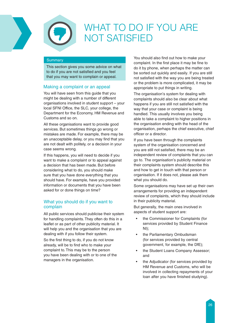



# WHAT TO DO IF YOU ARE NOT SATISFIED

#### **Summary**

This section gives you some advice on what to do if you are not satisfied and you feel that you may want to complain or appeal.

# Making a complaint or an appeal

You will have seen from this guide that you might be dealing with a number of different organisations involved in student support – your local SFNI Office, the SLC, your college, the Department for the Economy, HM Revenue and Customs and so on.

All these organisations want to provide good services. But sometimes things go wrong or mistakes are made. For example, there may be an unacceptable delay, or you may find that you are not dealt with politely, or a decision in your case seems wrong.

If this happens, you will need to decide if you want to make a complaint or to appeal against a decision that has been made. But before considering what to do, you should make sure that you have done everything that you should have. For example, have you provided information or documents that you have been asked for or done things on time?

## What you should do if you want to complain

All public services should publicise their system for handling complaints. They often do this in a leaflet or as part of other publicity material. It will help you and the organisation that you are dealing with if you follow their system.

So the first thing to do, if you do not know already, will be to find who to make your complaint to. This may be to the person you have been dealing with or to one of the managers in the organisation.

You should also find out how to make your complaint. In the first place it may be fine to do it by phone, when perhaps the matter can be sorted out quickly and easily. If you are still not satisfied with the way you are being treated or the problem is more complicated, it may be appropriate to put things in writing.

The organisation's system for dealing with complaints should also be clear about what happens if you are still not satisfied with the way that your case or complaint is being handled. This usually involves you being able to take a complaint to higher positions in the organisation ending with the head of the organisation, perhaps the chief executive, chief officer or a director.

If you have been through the complaints system of the organisation concerned and you are still not satisfied, there may be an independent review of complaints that you can go to. The organisation's publicity material on their complaints system should describe this and how to get in touch with that person or organisation. If it does not, please ask them what you should do.

Some organisations may have set up their own arrangements for providing an independent review of complaints, which they should include in their publicity material.

But generally, the main ones involved in aspects of student support are:

- the Commissioner for Complaints (for services provided by Student Finance NI);
- the Parliamentary Ombudsman (for services provided by central government, for example, the DfE);
- the Student Loans Company Assessor: and
- the Adjudicator (for services provided by HM Revenue and Customs, who will be involved in collecting repayments of your loan after you have finished studying).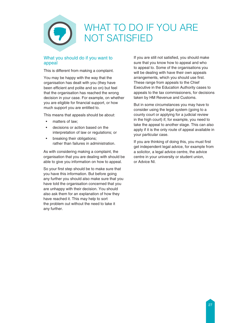

### What you should do if you want to appeal

This is different from making a complaint.

You may be happy with the way that the organisation has dealt with you (they have been efficient and polite and so on) but feel that the organisation has reached the wrong decision in your case. For example, on whether you are eligible for financial support, or how much support you are entitled to.

This means that appeals should be about:

- matters of law;
- decisions or action based on the interpretation of law or regulations; or
- breaking their obligations; rather than failures in administration.

As with considering making a complaint, the organisation that you are dealing with should be able to give you information on how to appeal.

So your first step should be to make sure that you have this information. But before going any further you should also make sure that you have told the organisation concerned that you are unhappy with their decision. You should also ask them for an explanation of how they have reached it. This may help to sort the problem out without the need to take it any further.

If you are still not satisfied, you should make sure that you know how to appeal and who to appeal to. Some of the organisations you will be dealing with have their own appeals arrangements, which you should use first. These range from appeals to the Chief Executive in the Education Authority cases to appeals to the tax commissioners, for decisions taken by HM Revenue and Customs.

But in some circumstances you may have to consider using the legal system (going to a county court or applying for a judicial review in the high court) if, for example, you need to take the appeal to another stage. This can also apply if it is the only route of appeal available in your particular case.

If you are thinking of doing this, you must first get independent legal advice, for example from a solicitor, a legal advice centre, the advice centre in your university or student union, or Advice NI.